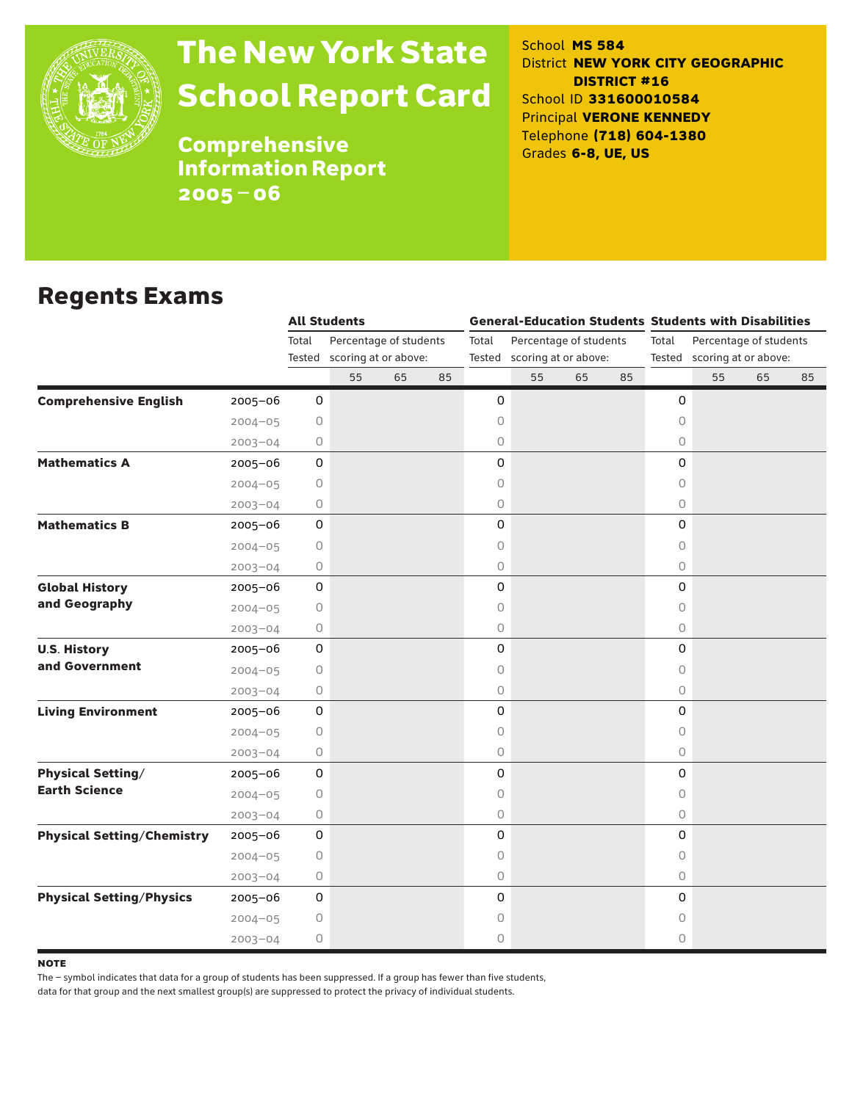

# The New York State School Report Card

School **MS 584** District **NEW YORK CITY GEOGRAPHIC DISTRICT #16** School ID **331600010584** Principal **VERONE KENNEDY** Telephone **(718) 604-1380** Grades **6-8, UE, US**

**Comprehensive** Information Report 2005–06

### Regents Exams

|                                   |             |         | <b>All Students</b>         |    |    |                                 |                             |    |                                 | <b>General-Education Students Students with Disabilities</b> |    |    |    |  |
|-----------------------------------|-------------|---------|-----------------------------|----|----|---------------------------------|-----------------------------|----|---------------------------------|--------------------------------------------------------------|----|----|----|--|
|                                   |             | Total   | Percentage of students      |    |    | Percentage of students<br>Total |                             |    | Total<br>Percentage of students |                                                              |    |    |    |  |
|                                   |             |         | Tested scoring at or above: |    |    |                                 | Tested scoring at or above: |    |                                 | Tested scoring at or above:                                  |    |    |    |  |
|                                   |             |         | 55                          | 65 | 85 |                                 | 55                          | 65 | 85                              |                                                              | 55 | 65 | 85 |  |
| <b>Comprehensive English</b>      | $2005 - 06$ | 0       |                             |    |    | 0                               |                             |    |                                 | 0                                                            |    |    |    |  |
|                                   | $2004 - 05$ | 0       |                             |    |    | $\circ$                         |                             |    |                                 | 0                                                            |    |    |    |  |
|                                   | $2003 - 04$ | 0       |                             |    |    | 0                               |                             |    |                                 | 0                                                            |    |    |    |  |
| <b>Mathematics A</b>              | 2005-06     | 0       |                             |    |    | 0                               |                             |    |                                 | 0                                                            |    |    |    |  |
|                                   | $2004 - 05$ | 0       |                             |    |    | 0                               |                             |    |                                 | 0                                                            |    |    |    |  |
|                                   | $2003 - 04$ | 0       |                             |    |    | $\bigcirc$                      |                             |    |                                 | $\circ$                                                      |    |    |    |  |
| <b>Mathematics B</b>              | $2005 - 06$ | 0       |                             |    |    | 0                               |                             |    |                                 | 0                                                            |    |    |    |  |
|                                   | $2004 - 05$ | 0       |                             |    |    | 0                               |                             |    |                                 | 0                                                            |    |    |    |  |
|                                   | $2003 - 04$ | 0       |                             |    |    | 0                               |                             |    |                                 | $\circ$                                                      |    |    |    |  |
| <b>Global History</b>             | 2005-06     | 0       |                             |    |    | 0                               |                             |    |                                 | 0                                                            |    |    |    |  |
| and Geography                     | $2004 - 05$ | 0       |                             |    |    | 0                               |                             |    |                                 | 0                                                            |    |    |    |  |
|                                   | $2003 - 04$ | 0       |                             |    |    | $\bigcirc$                      |                             |    |                                 | 0                                                            |    |    |    |  |
| <b>U.S. History</b>               | 2005-06     | 0       |                             |    |    | 0                               |                             |    |                                 | 0                                                            |    |    |    |  |
| and Government                    | $2004 - 05$ | 0       |                             |    |    | 0                               |                             |    |                                 | 0                                                            |    |    |    |  |
|                                   | $2003 - 04$ | $\circ$ |                             |    |    | $\bigcirc$                      |                             |    |                                 | $\circ$                                                      |    |    |    |  |
| <b>Living Environment</b>         | $2005 - 06$ | 0       |                             |    |    | 0                               |                             |    |                                 | 0                                                            |    |    |    |  |
|                                   | $2004 - 05$ | 0       |                             |    |    | 0                               |                             |    |                                 | 0                                                            |    |    |    |  |
|                                   | $2003 - 04$ | 0       |                             |    |    | $\circ$                         |                             |    |                                 | $\circ$                                                      |    |    |    |  |
| <b>Physical Setting/</b>          | 2005-06     | 0       |                             |    |    | 0                               |                             |    |                                 | 0                                                            |    |    |    |  |
| <b>Earth Science</b>              | $2004 - 05$ | 0       |                             |    |    | 0                               |                             |    |                                 | 0                                                            |    |    |    |  |
|                                   | $2003 - 04$ | 0       |                             |    |    | 0                               |                             |    |                                 | 0                                                            |    |    |    |  |
| <b>Physical Setting/Chemistry</b> | 2005-06     | 0       |                             |    |    | 0                               |                             |    |                                 | 0                                                            |    |    |    |  |
|                                   | $2004 - 05$ | 0       |                             |    |    | 0                               |                             |    |                                 | 0                                                            |    |    |    |  |
|                                   | $2003 - 04$ | 0       |                             |    |    | 0                               |                             |    |                                 | $\circ$                                                      |    |    |    |  |
| <b>Physical Setting/Physics</b>   | $2005 - 06$ | 0       |                             |    |    | 0                               |                             |    |                                 | 0                                                            |    |    |    |  |
|                                   | $2004 - 05$ | 0       |                             |    |    | 0                               |                             |    |                                 | 0                                                            |    |    |    |  |
|                                   | $2003 - 04$ | 0       |                             |    |    | 0                               |                             |    |                                 | $\circ$                                                      |    |    |    |  |

**NOTE** 

The – symbol indicates that data for a group of students has been suppressed. If a group has fewer than five students,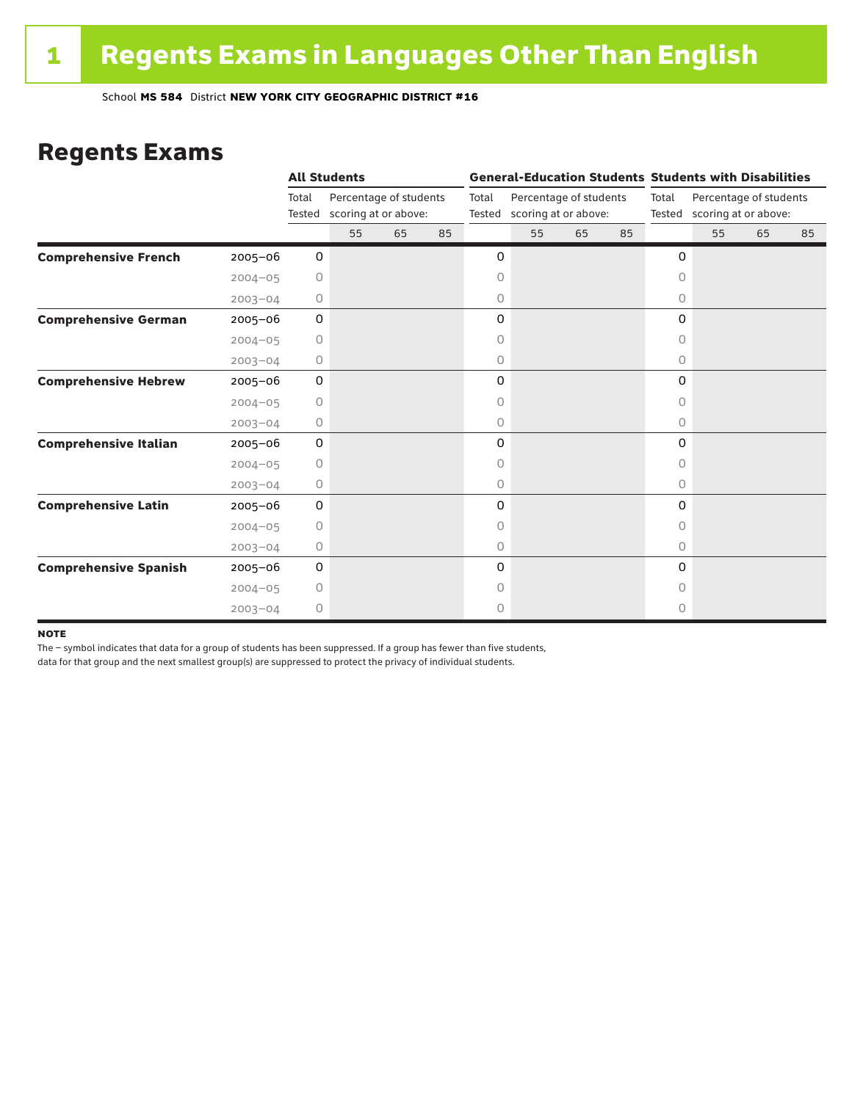### Regents Exams

|                              |             |             | <b>All Students</b>                                   |    |    |       |                             |                        | <b>General-Education Students Students with Disabilities</b> |          |                                                       |    |    |
|------------------------------|-------------|-------------|-------------------------------------------------------|----|----|-------|-----------------------------|------------------------|--------------------------------------------------------------|----------|-------------------------------------------------------|----|----|
|                              |             | Total       | Percentage of students<br>Tested scoring at or above: |    |    | Total | Tested scoring at or above: | Percentage of students |                                                              | Total    | Percentage of students<br>Tested scoring at or above: |    |    |
|                              |             |             | 55                                                    | 65 | 85 |       | 55                          | 65                     | 85                                                           |          | 55                                                    | 65 | 85 |
| <b>Comprehensive French</b>  | $2005 - 06$ | 0           |                                                       |    |    | 0     |                             |                        |                                                              | 0        |                                                       |    |    |
|                              | $2004 - 05$ | $\circ$     |                                                       |    |    | 0     |                             |                        |                                                              | 0        |                                                       |    |    |
|                              | $2003 - 04$ | 0           |                                                       |    |    | 0     |                             |                        |                                                              | 0        |                                                       |    |    |
| <b>Comprehensive German</b>  | $2005 - 06$ | 0           |                                                       |    |    | 0     |                             |                        |                                                              | 0        |                                                       |    |    |
|                              | $2004 - 05$ | $\circ$     |                                                       |    |    | 0     |                             |                        |                                                              | 0        |                                                       |    |    |
|                              | $2003 - 04$ | 0           |                                                       |    |    | 0     |                             |                        |                                                              | $\circ$  |                                                       |    |    |
| <b>Comprehensive Hebrew</b>  | $2005 - 06$ | $\mathbf 0$ |                                                       |    |    | 0     |                             |                        |                                                              | 0        |                                                       |    |    |
|                              | $2004 - 05$ | 0           |                                                       |    |    | 0     |                             |                        |                                                              | 0        |                                                       |    |    |
|                              | $2003 - 04$ | 0           |                                                       |    |    | 0     |                             |                        |                                                              | 0        |                                                       |    |    |
| <b>Comprehensive Italian</b> | $2005 - 06$ | 0           |                                                       |    |    | 0     |                             |                        |                                                              | 0        |                                                       |    |    |
|                              | $2004 - 05$ | $\circ$     |                                                       |    |    | 0     |                             |                        |                                                              | 0        |                                                       |    |    |
|                              | $2003 - 04$ | 0           |                                                       |    |    | 0     |                             |                        |                                                              | 0        |                                                       |    |    |
| <b>Comprehensive Latin</b>   | $2005 - 06$ | 0           |                                                       |    |    | 0     |                             |                        |                                                              | 0        |                                                       |    |    |
|                              | $2004 - 05$ | $\circ$     |                                                       |    |    | 0     |                             |                        |                                                              | 0        |                                                       |    |    |
|                              | $2003 - 04$ | $\circ$     |                                                       |    |    | 0     |                             |                        |                                                              | $\circ$  |                                                       |    |    |
| <b>Comprehensive Spanish</b> | $2005 - 06$ | 0           |                                                       |    |    | 0     |                             |                        |                                                              | $\Omega$ |                                                       |    |    |
|                              | $2004 - 05$ | 0           |                                                       |    |    | 0     |                             |                        |                                                              | O        |                                                       |    |    |
|                              | $2003 - 04$ | 0           |                                                       |    |    | 0     |                             |                        |                                                              | 0        |                                                       |    |    |

#### **NOTE**

The – symbol indicates that data for a group of students has been suppressed. If a group has fewer than five students,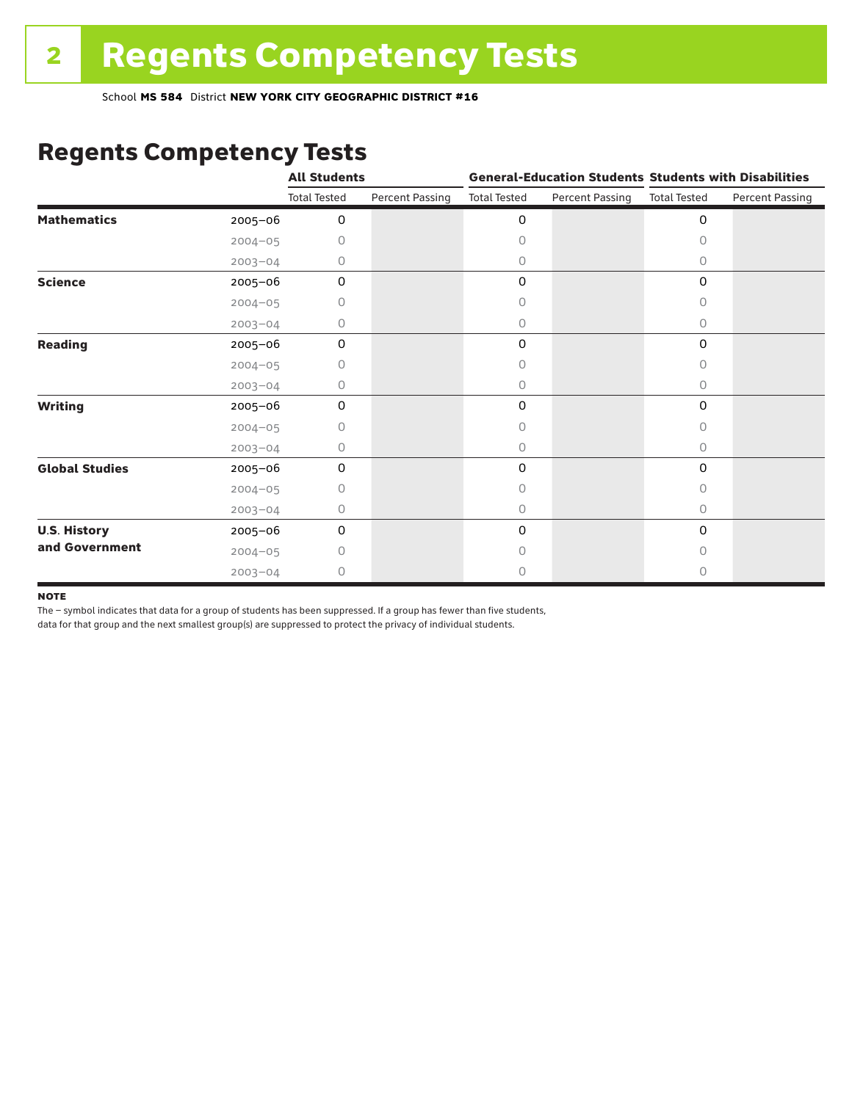## Regents Competency Tests

|                       |             | <b>All Students</b> |                        |                     |                        | <b>General-Education Students Students with Disabilities</b> |                        |  |
|-----------------------|-------------|---------------------|------------------------|---------------------|------------------------|--------------------------------------------------------------|------------------------|--|
|                       |             | <b>Total Tested</b> | <b>Percent Passing</b> | <b>Total Tested</b> | <b>Percent Passing</b> | <b>Total Tested</b>                                          | <b>Percent Passing</b> |  |
| <b>Mathematics</b>    | 2005-06     | 0                   |                        | 0                   |                        | $\mathbf 0$                                                  |                        |  |
|                       | $2004 - 05$ | 0                   |                        | 0                   |                        | $\bigcap$                                                    |                        |  |
|                       | $2003 - 04$ | 0                   |                        | 0                   |                        | 0                                                            |                        |  |
| <b>Science</b>        | 2005-06     | $\mathbf 0$         |                        | 0                   |                        | $\mathbf 0$                                                  |                        |  |
|                       | $2004 - 05$ | 0                   |                        | 0                   |                        | 0                                                            |                        |  |
|                       | $2003 - 04$ | 0                   |                        | 0                   |                        | 0                                                            |                        |  |
| <b>Reading</b>        | 2005-06     | 0                   |                        | 0                   |                        | 0                                                            |                        |  |
|                       | $2004 - 05$ | 0                   |                        | 0                   |                        | 0                                                            |                        |  |
|                       | $2003 - 04$ | 0                   |                        | 0                   |                        | $\circ$                                                      |                        |  |
| <b>Writing</b>        | 2005-06     | 0                   |                        | 0                   |                        | 0                                                            |                        |  |
|                       | $2004 - 05$ | 0                   |                        | 0                   |                        | 0                                                            |                        |  |
|                       | $2003 - 04$ | 0                   |                        | 0                   |                        | $\circ$                                                      |                        |  |
| <b>Global Studies</b> | 2005-06     | 0                   |                        | 0                   |                        | 0                                                            |                        |  |
|                       | $2004 - 05$ | 0                   |                        | 0                   |                        | 0                                                            |                        |  |
|                       | $2003 - 04$ | 0                   |                        | 0                   |                        | $\circ$                                                      |                        |  |
| <b>U.S. History</b>   | 2005-06     | 0                   |                        | 0                   |                        | 0                                                            |                        |  |
| and Government        | $2004 - 05$ | O                   |                        | $\bigcap$           |                        | $\Omega$                                                     |                        |  |
|                       | $2003 - 04$ | 0                   |                        | 0                   |                        | 0                                                            |                        |  |

#### **NOTE**

The – symbol indicates that data for a group of students has been suppressed. If a group has fewer than five students,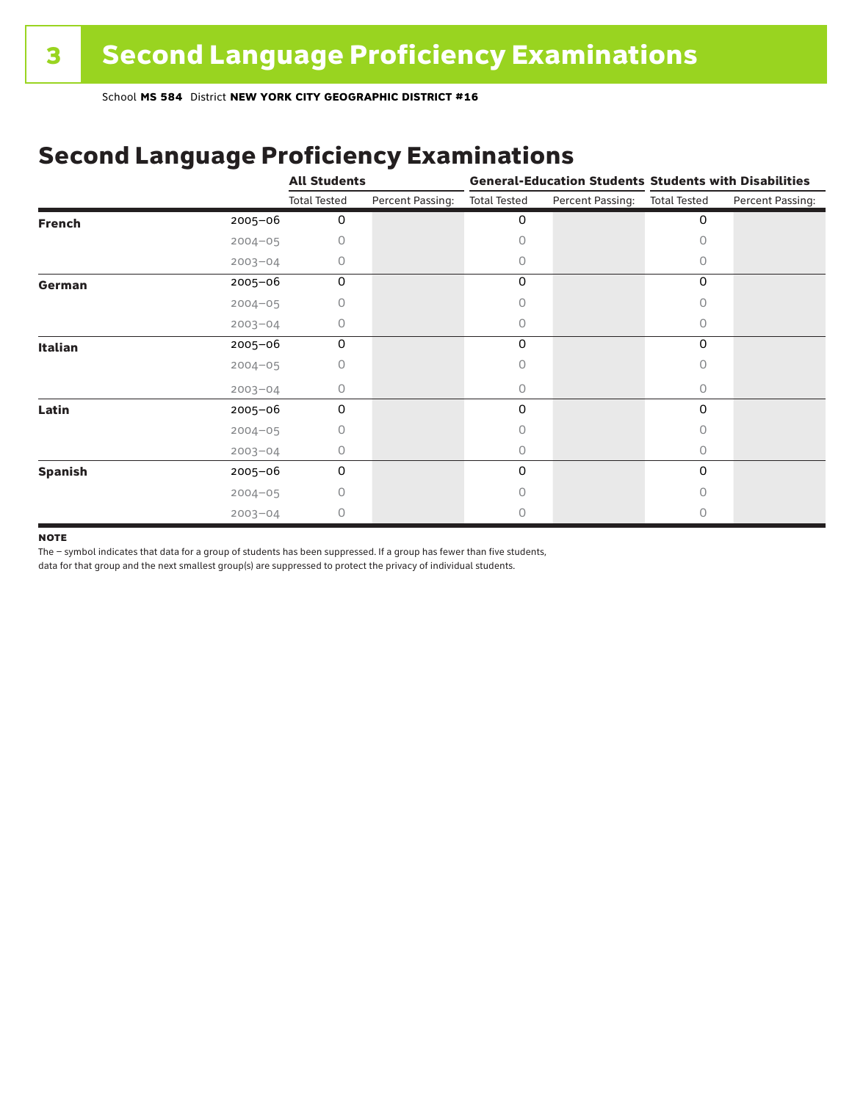# Second Language Proficiency Examinations

|                |             | <b>All Students</b> |                  | <b>General-Education Students Students with Disabilities</b> |                  |                     |                  |  |
|----------------|-------------|---------------------|------------------|--------------------------------------------------------------|------------------|---------------------|------------------|--|
|                |             | <b>Total Tested</b> | Percent Passing: | <b>Total Tested</b>                                          | Percent Passing: | <b>Total Tested</b> | Percent Passing: |  |
| <b>French</b>  | $2005 - 06$ | 0                   |                  | 0                                                            |                  | 0                   |                  |  |
|                | $2004 - 05$ | U                   |                  | Ω                                                            |                  |                     |                  |  |
|                | $2003 - 04$ | 0                   |                  | 0                                                            |                  | 0                   |                  |  |
| German         | 2005-06     | 0                   |                  | 0                                                            |                  | 0                   |                  |  |
|                | $2004 - 05$ | 0                   |                  | Ω                                                            |                  | 0                   |                  |  |
|                | $2003 - 04$ | 0                   |                  | 0                                                            |                  | 0                   |                  |  |
| <b>Italian</b> | 2005-06     | 0                   |                  | 0                                                            |                  | 0                   |                  |  |
|                | $2004 - 05$ | 0                   |                  |                                                              |                  |                     |                  |  |
|                | $2003 - 04$ | 0                   |                  | 0                                                            |                  | 0                   |                  |  |
| Latin          | 2005-06     | 0                   |                  | 0                                                            |                  | 0                   |                  |  |
|                | $2004 - 05$ | 0                   |                  |                                                              |                  |                     |                  |  |
|                | $2003 - 04$ | 0                   |                  | 0                                                            |                  | 0                   |                  |  |
| <b>Spanish</b> | 2005-06     | 0                   |                  | 0                                                            |                  | 0                   |                  |  |
|                | $2004 - 05$ | 0                   |                  | 0                                                            |                  | Ω                   |                  |  |
|                | $2003 - 04$ | 0                   |                  |                                                              |                  |                     |                  |  |

#### **NOTE**

The – symbol indicates that data for a group of students has been suppressed. If a group has fewer than five students,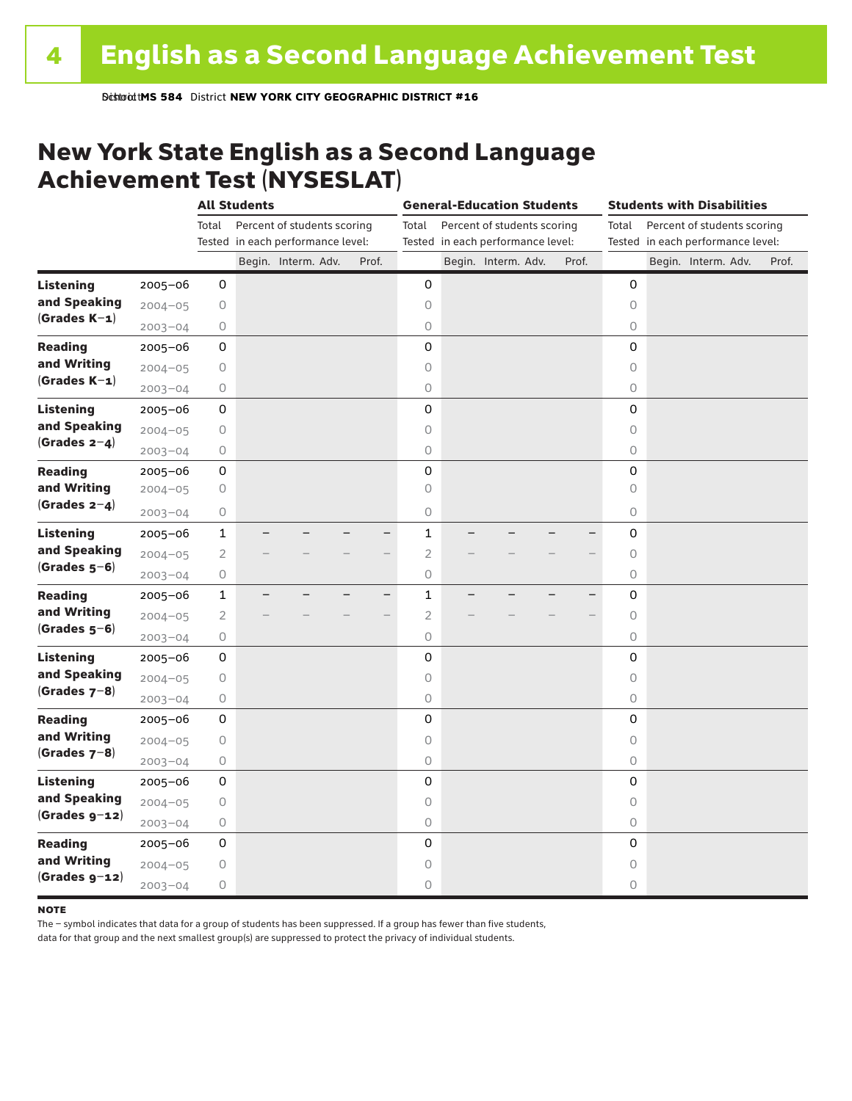**Bistroid tMS 584 District NEW YORK CITY GEOGRAPHIC DISTRICT #16** 

### New York State English as a Second Language Achievement Test (NYSESLAT)

|                  |             |                | <b>All Students</b> |                                                                  |       | <b>General-Education Students</b> |                                   |                             |  | <b>Students with Disabilities</b> |  |                                                                           |  |  |                     |  |       |
|------------------|-------------|----------------|---------------------|------------------------------------------------------------------|-------|-----------------------------------|-----------------------------------|-----------------------------|--|-----------------------------------|--|---------------------------------------------------------------------------|--|--|---------------------|--|-------|
|                  |             | Total          |                     | Percent of students scoring<br>Tested in each performance level: |       | Total                             | Tested in each performance level: | Percent of students scoring |  |                                   |  | Percent of students scoring<br>Total<br>Tested in each performance level: |  |  |                     |  |       |
|                  |             |                |                     | Begin. Interm. Adv.                                              | Prof. |                                   |                                   | Begin. Interm. Adv.         |  | Prof.                             |  |                                                                           |  |  | Begin. Interm. Adv. |  | Prof. |
| <b>Listening</b> | 2005-06     | 0              |                     |                                                                  |       | 0                                 |                                   |                             |  |                                   |  | 0                                                                         |  |  |                     |  |       |
| and Speaking     | $2004 - 05$ | 0              |                     |                                                                  |       | 0                                 |                                   |                             |  |                                   |  | 0                                                                         |  |  |                     |  |       |
| $(Grades K-1)$   | $2003 - 04$ | 0              |                     |                                                                  |       | $\circ$                           |                                   |                             |  |                                   |  | 0                                                                         |  |  |                     |  |       |
| <b>Reading</b>   | $2005 - 06$ | 0              |                     |                                                                  |       | 0                                 |                                   |                             |  |                                   |  | 0                                                                         |  |  |                     |  |       |
| and Writing      | $2004 - 05$ | 0              |                     |                                                                  |       | $\circ$                           |                                   |                             |  |                                   |  | $\circ$                                                                   |  |  |                     |  |       |
| $(Grades K-1)$   | $2003 - 04$ | 0              |                     |                                                                  |       | $\circ$                           |                                   |                             |  |                                   |  | 0                                                                         |  |  |                     |  |       |
| <b>Listening</b> | 2005-06     | 0              |                     |                                                                  |       | 0                                 |                                   |                             |  |                                   |  | 0                                                                         |  |  |                     |  |       |
| and Speaking     | $2004 - 05$ | 0              |                     |                                                                  |       | $\circ$                           |                                   |                             |  |                                   |  | $\circ$                                                                   |  |  |                     |  |       |
| (Grades $2-4$ )  | $2003 - 04$ | 0              |                     |                                                                  |       | $\bigcirc$                        |                                   |                             |  |                                   |  | $\circ$                                                                   |  |  |                     |  |       |
| <b>Reading</b>   | 2005-06     | 0              |                     |                                                                  |       | 0                                 |                                   |                             |  |                                   |  | 0                                                                         |  |  |                     |  |       |
| and Writing      | $2004 - 05$ | 0              |                     |                                                                  |       | $\bigcirc$                        |                                   |                             |  |                                   |  | 0                                                                         |  |  |                     |  |       |
| $(Grades 2-4)$   | $2003 - 04$ | 0              |                     |                                                                  |       | 0                                 |                                   |                             |  |                                   |  | 0                                                                         |  |  |                     |  |       |
| <b>Listening</b> | $2005 - 06$ | $\mathbf{1}$   |                     |                                                                  |       | $\mathbf{1}$                      |                                   |                             |  |                                   |  | 0                                                                         |  |  |                     |  |       |
| and Speaking     | $2004 - 05$ | $\overline{2}$ |                     |                                                                  |       | $\overline{2}$                    |                                   |                             |  |                                   |  | $\mathsf O$                                                               |  |  |                     |  |       |
| $(Grades 5-6)$   | $2003 - 04$ | 0              |                     |                                                                  |       | $\bigcirc$                        |                                   |                             |  |                                   |  | $\circ$                                                                   |  |  |                     |  |       |
| <b>Reading</b>   | $2005 - 06$ | $\mathbf{1}$   |                     |                                                                  |       | $\mathbf{1}$<br>—                 |                                   |                             |  |                                   |  | 0                                                                         |  |  |                     |  |       |
| and Writing      | $2004 - 05$ | $\mathbf{2}$   |                     |                                                                  |       | $\overline{2}$                    |                                   |                             |  |                                   |  | $\circ$                                                                   |  |  |                     |  |       |
| $(Grades 5-6)$   | $2003 - 04$ | 0              |                     |                                                                  |       | $\bigcirc$                        |                                   |                             |  |                                   |  | 0                                                                         |  |  |                     |  |       |
| <b>Listening</b> | 2005-06     | 0              |                     |                                                                  |       | 0                                 |                                   |                             |  |                                   |  | 0                                                                         |  |  |                     |  |       |
| and Speaking     | $2004 - 05$ | $\circ$        |                     |                                                                  |       | $\circ$                           |                                   |                             |  |                                   |  | $\circ$                                                                   |  |  |                     |  |       |
| (Grades $7-8$ )  | $2003 - 04$ | 0              |                     |                                                                  |       | 0                                 |                                   |                             |  |                                   |  | 0                                                                         |  |  |                     |  |       |
| <b>Reading</b>   | $2005 - 06$ | 0              |                     |                                                                  |       | 0                                 |                                   |                             |  |                                   |  | 0                                                                         |  |  |                     |  |       |
| and Writing      | $2004 - 05$ | 0              |                     |                                                                  |       | $\circ$                           |                                   |                             |  |                                   |  | $\circ$                                                                   |  |  |                     |  |       |
| $(Grades 7-8)$   | $2003 - 04$ | 0              |                     |                                                                  |       | $\bigcirc$                        |                                   |                             |  |                                   |  | 0                                                                         |  |  |                     |  |       |
| <b>Listening</b> | 2005-06     | 0              |                     |                                                                  |       | 0                                 |                                   |                             |  |                                   |  | 0                                                                         |  |  |                     |  |       |
| and Speaking     | $2004 - 05$ | 0              |                     |                                                                  |       | $\circ$                           |                                   |                             |  |                                   |  | $\circ$                                                                   |  |  |                     |  |       |
| $(Grades g-12)$  | $2003 - 04$ | 0              |                     |                                                                  |       | $\bigcirc$                        |                                   |                             |  |                                   |  | $\circ$                                                                   |  |  |                     |  |       |
| <b>Reading</b>   | $2005 - 06$ | 0              |                     |                                                                  |       | 0                                 |                                   |                             |  |                                   |  | 0                                                                         |  |  |                     |  |       |
| and Writing      | $2004 - 05$ | 0              |                     |                                                                  |       | 0                                 |                                   |                             |  |                                   |  | 0                                                                         |  |  |                     |  |       |
| $(Grades g-z)$   | $2003 - 04$ | 0              |                     |                                                                  |       | 0                                 |                                   |                             |  |                                   |  | 0                                                                         |  |  |                     |  |       |

#### **NOTE**

The – symbol indicates that data for a group of students has been suppressed. If a group has fewer than five students,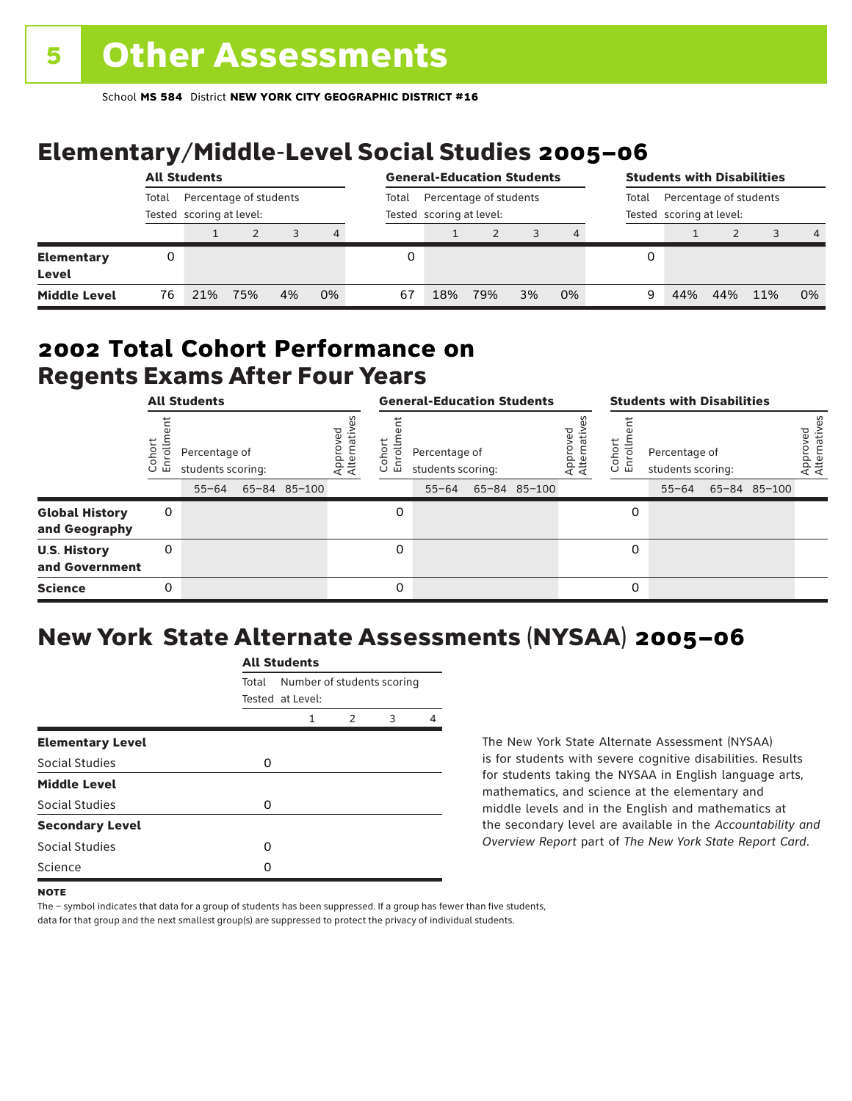# Elementary/Middle-Level Social Studies 2005–06

|                            | <b>All Students</b> |     |                                                    |    |    |       | <b>General-Education Students</b> |                                                    |    | <b>Students with Disabilities</b> |       |     |                                                    |     |                |  |
|----------------------------|---------------------|-----|----------------------------------------------------|----|----|-------|-----------------------------------|----------------------------------------------------|----|-----------------------------------|-------|-----|----------------------------------------------------|-----|----------------|--|
|                            | Total               |     | Percentage of students<br>Tested scoring at level: |    |    | Total |                                   | Percentage of students<br>Tested scoring at level: |    |                                   | Total |     | Percentage of students<br>Tested scoring at level: |     |                |  |
|                            |                     |     |                                                    |    | 4  |       |                                   |                                                    |    |                                   |       |     |                                                    |     | $\overline{4}$ |  |
| <b>Elementary</b><br>Level | 0                   |     |                                                    |    |    |       |                                   |                                                    |    |                                   | 0     |     |                                                    |     |                |  |
| <b>Middle Level</b>        | 76                  | 21% | 75%                                                | 4% | 0% | 67    | 18%                               | 79%                                                | 3% | 0%                                | 9     | 44% | 44%                                                | 11% | 0%             |  |

### Regents Exams After Four Years 2002 **Total Cohort Performance on**

|                                        | <b>All Students</b>     |                                                 |  |              | <b>General-Education Students</b> |                                |                                                 |  |              | <b>Students with Disabilities</b> |                               |                                                 |  |              |                          |
|----------------------------------------|-------------------------|-------------------------------------------------|--|--------------|-----------------------------------|--------------------------------|-------------------------------------------------|--|--------------|-----------------------------------|-------------------------------|-------------------------------------------------|--|--------------|--------------------------|
|                                        | oho<br>ō<br>面<br>$\cup$ | Percentage of<br>students scoring:<br>$55 - 64$ |  | 65-84 85-100 | Approved<br>Alternative           | oho<br><b>o</b><br>こ<br>$\cup$ | Percentage of<br>students scoring:<br>$55 - 64$ |  | 65-84 85-100 | roved<br>Approveu<br>Alternativ   | ohort<br>rolln<br>훕<br>$\cup$ | Percentage of<br>students scoring:<br>$55 - 64$ |  | 65-84 85-100 | Approved<br>Alternatives |
| <b>Global History</b><br>and Geography | 0                       |                                                 |  |              |                                   | 0                              |                                                 |  |              |                                   | 0                             |                                                 |  |              |                          |
| <b>U.S. History</b><br>and Government  | 0                       |                                                 |  |              |                                   | 0                              |                                                 |  |              |                                   | 0                             |                                                 |  |              |                          |
| <b>Science</b>                         | 0                       |                                                 |  |              |                                   | 0                              |                                                 |  |              |                                   | 0                             |                                                 |  |              |                          |

# New York State Alternate Assessments (NYSAA) 2005–06

|                         | <b>All Students</b>                 |                                 |  |  |   |  |  |  |  |
|-------------------------|-------------------------------------|---------------------------------|--|--|---|--|--|--|--|
|                         | Number of students scoring<br>Total |                                 |  |  |   |  |  |  |  |
|                         |                                     | Tested at Level:<br>2<br>1<br>3 |  |  |   |  |  |  |  |
| <b>Elementary Level</b> |                                     |                                 |  |  | 4 |  |  |  |  |
| Social Studies          | O                                   |                                 |  |  |   |  |  |  |  |
| <b>Middle Level</b>     |                                     |                                 |  |  |   |  |  |  |  |
| Social Studies          | O                                   |                                 |  |  |   |  |  |  |  |
| <b>Secondary Level</b>  |                                     |                                 |  |  |   |  |  |  |  |
| Social Studies          | O                                   |                                 |  |  |   |  |  |  |  |
| Science                 | ი                                   |                                 |  |  |   |  |  |  |  |

The New York State Alternate Assessment (NYSAA) is for students with severe cognitive disabilities. Results for students taking the NYSAA in English language arts, mathematics, and science at the elementary and middle levels and in the English and mathematics at the secondary level are available in the *Accountability and Overview Report* part of *The New York State Report Card*.

The – symbol indicates that data for a group of students has been suppressed. If a group has fewer than five students, data for that group and the next smallest group(s) are suppressed to protect the privacy of individual students.

**NOTE**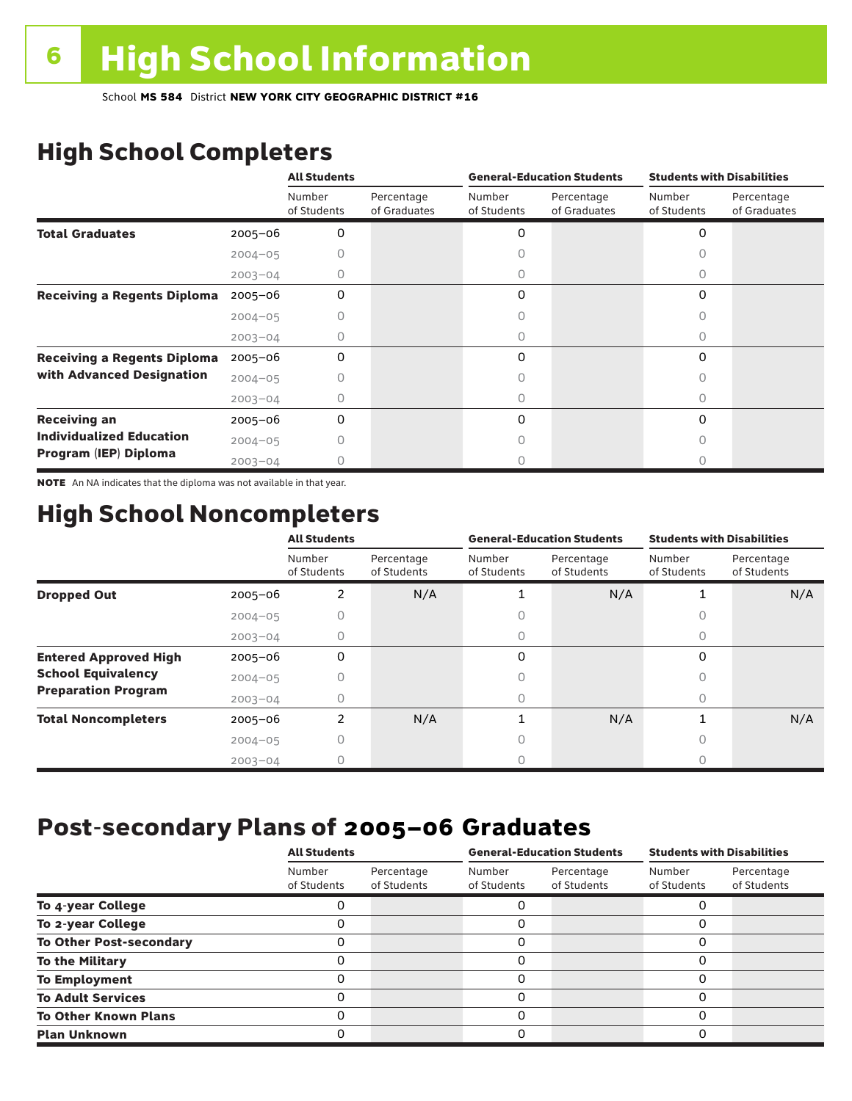# High School Completers

|                                    |             | <b>All Students</b>   |                            | <b>General-Education Students</b> |                            | <b>Students with Disabilities</b> |                            |  |
|------------------------------------|-------------|-----------------------|----------------------------|-----------------------------------|----------------------------|-----------------------------------|----------------------------|--|
|                                    |             | Number<br>of Students | Percentage<br>of Graduates | Number<br>of Students             | Percentage<br>of Graduates | Number<br>of Students             | Percentage<br>of Graduates |  |
| <b>Total Graduates</b>             | 2005-06     | 0                     |                            | 0                                 |                            | 0                                 |                            |  |
|                                    | $2004 - 05$ |                       |                            |                                   |                            |                                   |                            |  |
|                                    | $2003 - 04$ | 0                     |                            | 0                                 |                            | 0                                 |                            |  |
| <b>Receiving a Regents Diploma</b> | $2005 - 06$ | 0                     |                            | 0                                 |                            | 0                                 |                            |  |
|                                    | $2004 - 05$ |                       |                            |                                   |                            | Ω                                 |                            |  |
|                                    | $2003 - 04$ |                       |                            | 0                                 |                            | Ω                                 |                            |  |
| <b>Receiving a Regents Diploma</b> | $2005 - 06$ | 0                     |                            | 0                                 |                            | 0                                 |                            |  |
| with Advanced Designation          | $2004 - 05$ |                       |                            |                                   |                            | Ω                                 |                            |  |
|                                    | $2003 - 04$ |                       |                            |                                   |                            | U                                 |                            |  |
| <b>Receiving an</b>                | $2005 - 06$ | 0                     |                            | 0                                 |                            | 0                                 |                            |  |
| <b>Individualized Education</b>    | $2004 - 05$ |                       |                            |                                   |                            | Ω                                 |                            |  |
| Program (IEP) Diploma              | $2003 - 04$ |                       |                            |                                   |                            |                                   |                            |  |

NOTE An NA indicates that the diploma was not available in that year.

## High School Noncompleters

|                              |             | <b>All Students</b>   |                           |                       | <b>General-Education Students</b> | <b>Students with Disabilities</b> |                           |  |  |
|------------------------------|-------------|-----------------------|---------------------------|-----------------------|-----------------------------------|-----------------------------------|---------------------------|--|--|
|                              |             | Number<br>of Students | Percentage<br>of Students | Number<br>of Students | Percentage<br>of Students         | Number<br>of Students             | Percentage<br>of Students |  |  |
| <b>Dropped Out</b>           | $2005 - 06$ | $\overline{2}$        | N/A                       |                       | N/A                               |                                   | N/A                       |  |  |
|                              | $2004 - 05$ | 0                     |                           | t.                    |                                   | 0                                 |                           |  |  |
|                              | $2003 - 04$ |                       |                           | 0                     |                                   | 0                                 |                           |  |  |
| <b>Entered Approved High</b> | $2005 - 06$ | 0                     |                           | 0                     |                                   | $\Omega$                          |                           |  |  |
| <b>School Equivalency</b>    | $2004 - 05$ |                       |                           | 0                     |                                   | 0                                 |                           |  |  |
| <b>Preparation Program</b>   | $2003 - 04$ | 0                     |                           | 0                     |                                   | $\bigcap$                         |                           |  |  |
| <b>Total Noncompleters</b>   | $2005 - 06$ | $\overline{2}$        | N/A                       |                       | N/A                               | 1                                 | N/A                       |  |  |
|                              | $2004 - 05$ | 0                     |                           | 0                     |                                   | 0                                 |                           |  |  |
|                              | $2003 - 04$ |                       |                           | Ω                     |                                   |                                   |                           |  |  |

## Post-secondary Plans of 2005–06 **Graduates**

|                                | <b>All Students</b>   |                           |                       | <b>General-Education Students</b> | <b>Students with Disabilities</b> |                           |  |
|--------------------------------|-----------------------|---------------------------|-----------------------|-----------------------------------|-----------------------------------|---------------------------|--|
|                                | Number<br>of Students | Percentage<br>of Students | Number<br>of Students | Percentage<br>of Students         | Number<br>of Students             | Percentage<br>of Students |  |
| To 4-year College              |                       |                           |                       |                                   |                                   |                           |  |
| To 2-year College              |                       |                           | 0                     |                                   | 0                                 |                           |  |
| <b>To Other Post-secondary</b> |                       |                           | ი                     |                                   | 0                                 |                           |  |
| <b>To the Military</b>         |                       |                           | ი                     |                                   | 0                                 |                           |  |
| <b>To Employment</b>           |                       |                           | 0                     |                                   | 0                                 |                           |  |
| <b>To Adult Services</b>       |                       |                           |                       |                                   | O                                 |                           |  |
| <b>To Other Known Plans</b>    |                       |                           | 0                     |                                   | 0                                 |                           |  |
| <b>Plan Unknown</b>            |                       |                           |                       |                                   | 0                                 |                           |  |